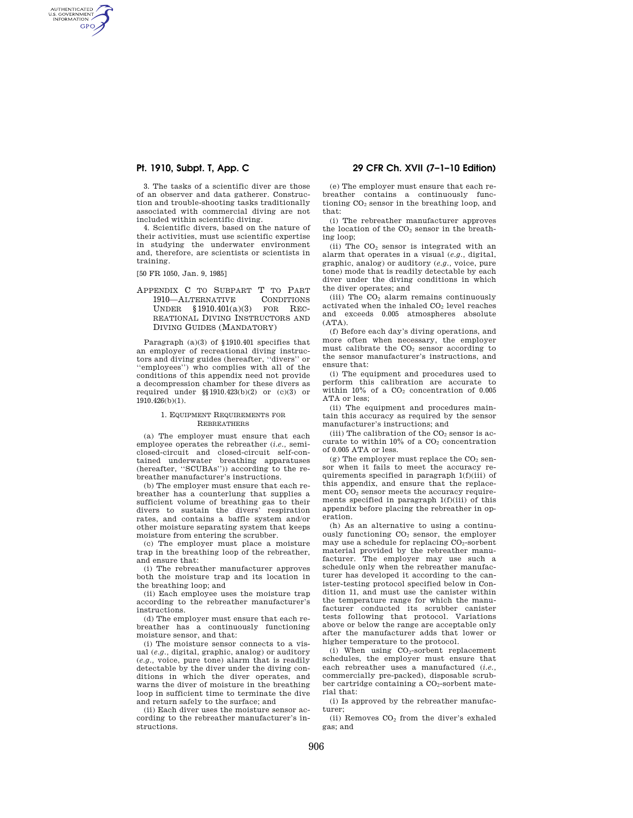AUTHENTICATED<br>U.S. GOVERNMENT<br>INFORMATION **GPO** 

> 3. The tasks of a scientific diver are those of an observer and data gatherer. Construction and trouble-shooting tasks traditionally associated with commercial diving are not included within scientific diving.

> 4. Scientific divers, based on the nature of their activities, must use scientific expertise in studying the underwater environment and, therefore, are scientists or scientists in training.

[50 FR 1050, Jan. 9, 1985]

# APPENDIX C TO SUBPART T TO PART 1910—ALTERNATIVE CONDITIONS UNDER §1910.401(a)(3) FOR REC-REATIONAL DIVING INSTRUCTORS AND DIVING GUIDES (MANDATORY)

Paragraph (a)(3) of §1910.401 specifies that an employer of recreational diving instructors and diving guides (hereafter, ''divers'' or ''employees'') who complies with all of the conditions of this appendix need not provide a decompression chamber for these divers as required under §§1910.423(b)(2) or (c)(3) or 1910.426(b)(1).

## 1. EQUIPMENT REQUIREMENTS FOR REBREATHERS

(a) The employer must ensure that each employee operates the rebreather (*i.e.,* semiclosed-circuit and closed-circuit self-contained underwater breathing apparatuses (hereafter, ''SCUBAs'')) according to the rebreather manufacturer's instructions.

(b) The employer must ensure that each rebreather has a counterlung that supplies a sufficient volume of breathing gas to their divers to sustain the divers' respiration rates, and contains a baffle system and/or other moisture separating system that keeps moisture from entering the scrubber.

(c) The employer must place a moisture trap in the breathing loop of the rebreather, and ensure that:

(i) The rebreather manufacturer approves both the moisture trap and its location in the breathing loop; and

(ii) Each employee uses the moisture trap according to the rebreather manufacturer's instructions.

(d) The employer must ensure that each rebreather has a continuously functioning moisture sensor, and that:

(i) The moisture sensor connects to a visual (*e.g.,* digital, graphic, analog) or auditory (*e.g.,* voice, pure tone) alarm that is readily detectable by the diver under the diving conditions in which the diver operates, and warns the diver of moisture in the breathing loop in sufficient time to terminate the dive and return safely to the surface; and

(ii) Each diver uses the moisture sensor according to the rebreather manufacturer's instructions.

**Pt. 1910, Subpt. T, App. C 29 CFR Ch. XVII (7–1–10 Edition)** 

(e) The employer must ensure that each rebreather contains a continuously functioning CO<sup>2</sup> sensor in the breathing loop, and that:

(i) The rebreather manufacturer approves the location of the  $CO<sub>2</sub>$  sensor in the breathing loop;

(ii) The  $CO<sub>2</sub>$  sensor is integrated with an alarm that operates in a visual (*e.g.,* digital, graphic, analog) or auditory (*e.g.,* voice, pure tone) mode that is readily detectable by each diver under the diving conditions in which the diver operates; and

(iii) The  $CO<sub>2</sub>$  alarm remains continuously activated when the inhaled CO<sub>2</sub> level reaches and exceeds 0.005 atmospheres absolute  $(ATA)$ .

(f) Before each day's diving operations, and more often when necessary, the employer must calibrate the  $CO<sub>2</sub>$  sensor according to the sensor manufacturer's instructions, and ensure that:

(i) The equipment and procedures used to perform this calibration are accurate to within  $10\%$  of a  $CO<sub>2</sub>$  concentration of 0.005 ATA or less;

(ii) The equipment and procedures maintain this accuracy as required by the sensor manufacturer's instructions; and

(iii) The calibration of the  $CO<sub>2</sub>$  sensor is accurate to within  $10\%$  of a CO<sub>2</sub> concentration of 0.005 ATA or less.

 $(g)$  The employer must replace the  $CO<sub>2</sub>$  sensor when it fails to meet the accuracy requirements specified in paragraph 1(f)(iii) of this appendix, and ensure that the replacement  $CO<sub>2</sub>$  sensor meets the accuracy requirements specified in paragraph 1(f)(iii) of this appendix before placing the rebreather in operation.

(h) As an alternative to using a continuously functioning CO<sub>2</sub> sensor, the employer may use a schedule for replacing  $CO<sub>2</sub>$ -sorbent material provided by the rebreather manufacturer. The employer may use such a schedule only when the rebreather manufacturer has developed it according to the canister-testing protocol specified below in Condition 11, and must use the canister within the temperature range for which the manufacturer conducted its scrubber canister tests following that protocol. Variations above or below the range are acceptable only after the manufacturer adds that lower or higher temperature to the protocol.

(i) When using  $CO_2$ -sorbent replacement schedules, the employer must ensure that each rebreather uses a manufactured (*i.e.,*  commercially pre-packed), disposable scrubber cartridge containing a  $CO<sub>2</sub>$ -sorbent material that:

(i) Is approved by the rebreather manufacturer;

(ii) Removes  $CO<sub>2</sub>$  from the diver's exhaled gas; and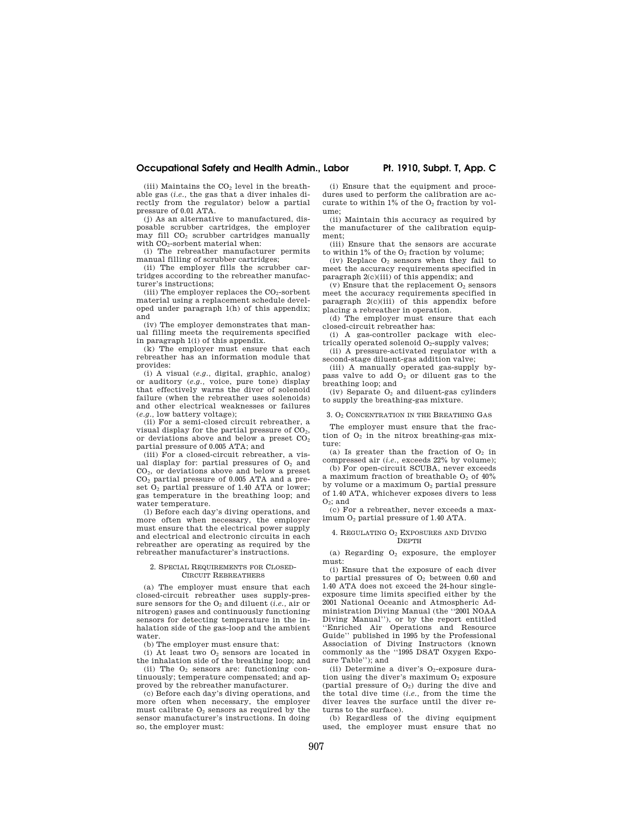# **Occupational Safety and Health Admin., Labor Pt. 1910, Subpt. T, App. C**

(iii) Maintains the  $CO<sub>2</sub>$  level in the breathable gas (*i.e.,* the gas that a diver inhales directly from the regulator) below a partial pressure of 0.01 ATA.

(j) As an alternative to manufactured, disposable scrubber cartridges, the employer  $\overline{\text{may}}$  fill CO<sub>2</sub> scrubber cartridges manually with CO<sub>2</sub>-sorbent material when:

(i) The rebreather manufacturer permits manual filling of scrubber cartridges;

(ii) The employer fills the scrubber cartridges according to the rebreather manufacturer's instructions;

(iii) The employer replaces the  $CO<sub>2</sub>$ -sorbent material using a replacement schedule developed under paragraph 1(h) of this appendix; and

(iv) The employer demonstrates that manual filling meets the requirements specified in paragraph 1(i) of this appendix.

(k) The employer must ensure that each rebreather has an information module that provides:

(i) A visual (*e.g.,* digital, graphic, analog) or auditory (*e.g.,* voice, pure tone) display that effectively warns the diver of solenoid failure (when the rebreather uses solenoids) and other electrical weaknesses or failures (*e.g.,* low battery voltage);

(ii) For a semi-closed circuit rebreather, a visual display for the partial pressure of  $CO<sub>2</sub>$ , or deviations above and below a preset  $CO<sub>2</sub>$ partial pressure of 0.005 ATA; and

(iii) For a closed-circuit rebreather, a visual display for: partial pressures of  $O<sub>2</sub>$  and CO2, or deviations above and below a preset CO<sup>2</sup> partial pressure of 0.005 ATA and a preset  $O<sub>2</sub>$  partial pressure of 1.40 ATA or lower; gas temperature in the breathing loop; and water temperature.

(l) Before each day's diving operations, and more often when necessary, the employer must ensure that the electrical power supply and electrical and electronic circuits in each rebreather are operating as required by the rebreather manufacturer's instructions.

# 2. SPECIAL REQUIREMENTS FOR CLOSED-CIRCUIT REBREATHERS

(a) The employer must ensure that each closed-circuit rebreather uses supply-pressure sensors for the O<sub>2</sub> and diluent *(i.e., air or*) nitrogen) gases and continuously functioning sensors for detecting temperature in the inhalation side of the gas-loop and the ambient water.

(b) The employer must ensure that:

so, the employer must:

 $(i)$  At least two  $O<sub>2</sub>$  sensors are located in the inhalation side of the breathing loop; and (ii) The  $O<sub>2</sub>$  sensors are: functioning continuously; temperature compensated; and ap-

proved by the rebreather manufacturer. (c) Before each day's diving operations, and more often when necessary, the employer must calibrate  $O<sub>2</sub>$  sensors as required by the sensor manufacturer's instructions. In doing

(i) Ensure that the equipment and procedures used to perform the calibration are accurate to within  $1\%$  of the  $\Omega_2$  fraction by volume;

(ii) Maintain this accuracy as required by the manufacturer of the calibration equipment;

(iii) Ensure that the sensors are accurate to within  $1\%$  of the  $O_2$  fraction by volume;

(iv) Replace  $O_2$  sensors when they fail to meet the accuracy requirements specified in paragraph 2(c)(iii) of this appendix; and

(v) Ensure that the replacement  $O_2$  sensors meet the accuracy requirements specified in paragraph 2(c)(iii) of this appendix before placing a rebreather in operation.

(d) The employer must ensure that each closed-circuit rebreather has:

(i) A gas-controller package with electrically operated solenoid  $O<sub>2</sub>$ -supply valves;

(ii) A pressure-activated regulator with a second-stage diluent-gas addition valve;

(iii) A manually operated gas-supply bypass valve to add  $O<sub>2</sub>$  or diluent gas to the breathing loop; and

(iv) Separate  $O<sub>2</sub>$  and diluent-gas cylinders to supply the breathing-gas mixture.

3. O<sup>2</sup> CONCENTRATION IN THE BREATHING GAS

The employer must ensure that the fraction of  $O<sub>2</sub>$  in the nitrox breathing-gas mixture:

(a) Is greater than the fraction of  $O_2$  in compressed air (*i.e.,* exceeds 22% by volume);

(b) For open-circuit SCUBA, never exceeds a maximum fraction of breathable  $O<sub>2</sub>$  of  $40\%$ by volume or a maximum  $O<sub>2</sub>$  partial pressure of 1.40 ATA, whichever exposes divers to less  $O<sub>2</sub>$ ; and

(c) For a rebreather, never exceeds a maximum O<sup>2</sup> partial pressure of 1.40 ATA.

4. REGULATING O<sup>2</sup> EXPOSURES AND DIVING DEPTH

(a) Regarding  $O<sub>2</sub>$  exposure, the employer must:

(i) Ensure that the exposure of each diver to partial pressures of  $O<sub>2</sub>$  between 0.60 and 1.40 ATA does not exceed the 24-hour singleexposure time limits specified either by the 2001 National Oceanic and Atmospheric Administration Diving Manual (the ''2001 NOAA Diving Manual''), or by the report entitled ''Enriched Air Operations and Resource Guide'' published in 1995 by the Professional Association of Diving Instructors (known commonly as the ''1995 DSAT Oxygen Exposure Table''); and

(ii) Determine a diver's  $O<sub>2</sub>$ -exposure duration using the diver's maximum  $O<sub>2</sub>$  exposure (partial pressure of  $O<sub>2</sub>$ ) during the dive and the total dive time (*i.e.,* from the time the diver leaves the surface until the diver returns to the surface).

(b) Regardless of the diving equipment used, the employer must ensure that no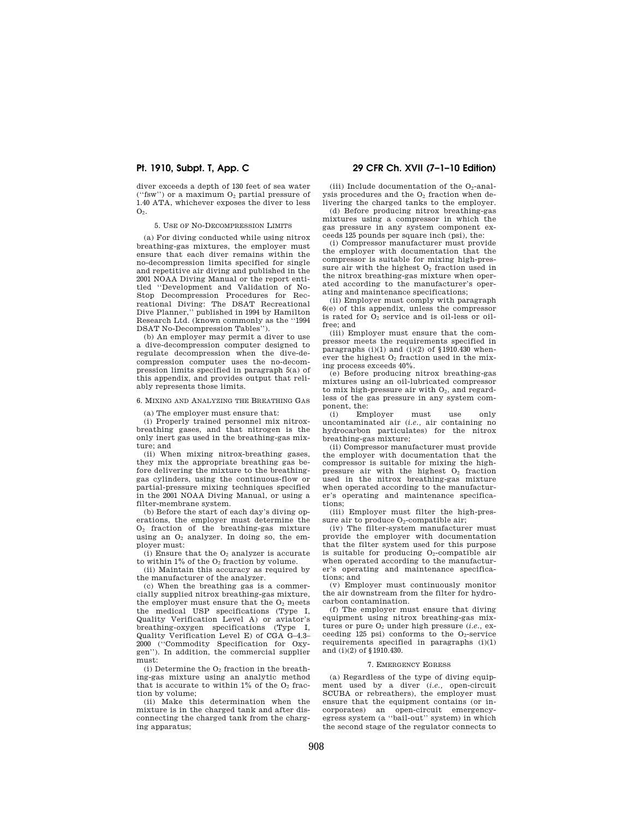diver exceeds a depth of 130 feet of sea water ("fsw") or a maximum  $O_2$  partial pressure of 1.40 ATA, whichever exposes the diver to less  $O<sub>2</sub>$ .

5. USE OF NO-DECOMPRESSION LIMITS

(a) For diving conducted while using nitrox breathing-gas mixtures, the employer must ensure that each diver remains within the no-decompression limits specified for single and repetitive air diving and published in the 2001 NOAA Diving Manual or the report entitled ''Development and Validation of No-Stop Decompression Procedures for Recreational Diving: The DSAT Recreational Dive Planner,'' published in 1994 by Hamilton Research Ltd. (known commonly as the ''1994 DSAT No-Decompression Tables'').

(b) An employer may permit a diver to use a dive-decompression computer designed to regulate decompression when the dive-decompression computer uses the no-decompression limits specified in paragraph 5(a) of this appendix, and provides output that reliably represents those limits.

6. MIXING AND ANALYZING THE BREATHING GAS

(a) The employer must ensure that:

(i) Properly trained personnel mix nitroxbreathing gases, and that nitrogen is the only inert gas used in the breathing-gas mixture; and

(ii) When mixing nitrox-breathing gases, they mix the appropriate breathing gas before delivering the mixture to the breathinggas cylinders, using the continuous-flow or partial-pressure mixing techniques specified in the 2001 NOAA Diving Manual, or using a filter-membrane system.

(b) Before the start of each day's diving operations, the employer must determine the O<sup>2</sup> fraction of the breathing-gas mixture using an  $O_2$  analyzer. In doing so, the employer must:

(i) Ensure that the  $O_2$  analyzer is accurate to within  $1\%$  of the  $O_2$  fraction by volume.

(ii) Maintain this accuracy as required by the manufacturer of the analyzer.

(c) When the breathing gas is a commercially supplied nitrox breathing-gas mixture, the employer must ensure that the  $O<sub>2</sub>$  meets the medical USP specifications (Type I, Quality Verification Level A) or aviator's breathing-oxygen specifications (Type I, Quality Verification Level E) of CGA G–4.3– 2000 (''Commodity Specification for Oxygen''). In addition, the commercial supplier must:

(i) Determine the  $O<sub>2</sub>$  fraction in the breathing-gas mixture using an analytic method that is accurate to within  $1\%$  of the O<sub>2</sub> fraction by volume;

(ii) Make this determination when the mixture is in the charged tank and after disconnecting the charged tank from the charging apparatus;

# **Pt. 1910, Subpt. T, App. C 29 CFR Ch. XVII (7–1–10 Edition)**

 $(iii)$  Include documentation of the  $O<sub>2</sub>$ -analysis procedures and the  $O<sub>2</sub>$  fraction when delivering the charged tanks to the employer.

(d) Before producing nitrox breathing-gas mixtures using a compressor in which the gas pressure in any system component exceeds 125 pounds per square inch (psi), the:

(i) Compressor manufacturer must provide the employer with documentation that the compressor is suitable for mixing high-pressure air with the highest  $O<sub>2</sub>$  fraction used in the nitrox breathing-gas mixture when operated according to the manufacturer's operating and maintenance specifications;

(ii) Employer must comply with paragraph 6(e) of this appendix, unless the compressor is rated for  $O_2$  service and is oil-less or oilfree; and

(iii) Employer must ensure that the compressor meets the requirements specified in paragraphs  $(i)(1)$  and  $(i)(2)$  of §1910.430 whenever the highest  $O<sub>2</sub>$  fraction used in the mixing process exceeds 40%.

(e) Before producing nitrox breathing-gas mixtures using an oil-lubricated compressor to mix high-pressure air with  $O<sub>2</sub>$ , and regardless of the gas pressure in any system component, the:<br>(i) Em

Employer must use only uncontaminated air (*i.e.,* air containing no hydrocarbon particulates) for the nitrox breathing-gas mixture;

(ii) Compressor manufacturer must provide the employer with documentation that the compressor is suitable for mixing the highpressure air with the highest  $O<sub>2</sub>$  fraction used in the nitrox breathing-gas mixture when operated according to the manufacturer's operating and maintenance specifications;

(iii) Employer must filter the high-pressure air to produce  $O_2$ -compatible air;

(iv) The filter-system manufacturer must provide the employer with documentation that the filter system used for this purpose is suitable for producing  $O<sub>2</sub>$ -compatible air when operated according to the manufacturer's operating and maintenance specifications; and

(v) Employer must continuously monitor the air downstream from the filter for hydrocarbon contamination.

(f) The employer must ensure that diving equipment using nitrox breathing-gas mixtures or pure O<sub>2</sub> under high pressure *(i.e., ex*ceeding  $125$  psi) conforms to the O<sub>2</sub>-service requirements specified in paragraphs (i)(1) and (i)(2) of §1910.430.

### 7. EMERGENCY EGRESS

(a) Regardless of the type of diving equipment used by a diver (*i.e.,* open-circuit SCUBA or rebreathers), the employer must ensure that the equipment contains (or incorporates) an open-circuit emergencyegress system (a "bail-out" system) in which the second stage of the regulator connects to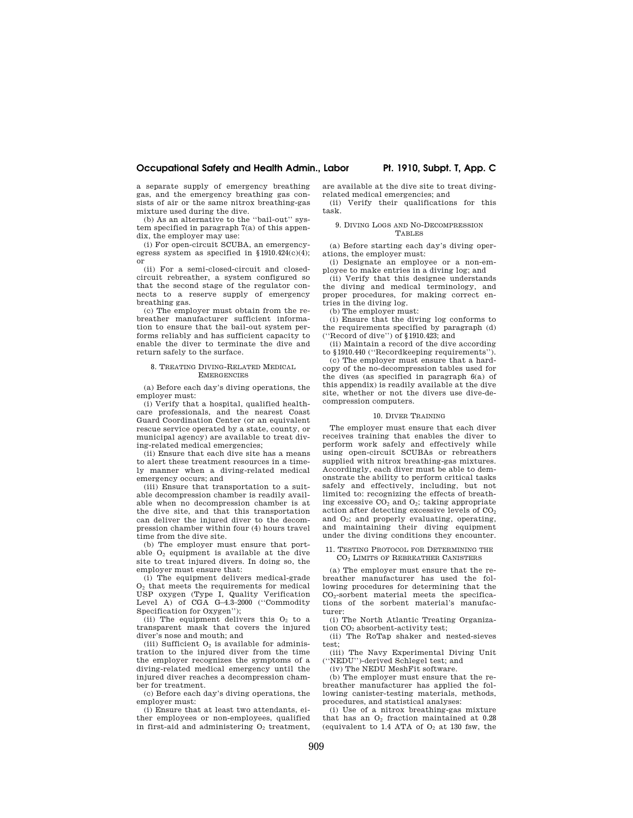# **Occupational Safety and Health Admin., Labor Pt. 1910, Subpt. T, App. C**

a separate supply of emergency breathing gas, and the emergency breathing gas consists of air or the same nitrox breathing-gas mixture used during the dive.

(b) As an alternative to the ''bail-out'' system specified in paragraph 7(a) of this appendix, the employer may use:

(i) For open-circuit SCUBA, an emergencyegress system as specified in §1910.424(c)(4); or

(ii) For a semi-closed-circuit and closedcircuit rebreather, a system configured so that the second stage of the regulator connects to a reserve supply of emergency breathing gas.

(c) The employer must obtain from the rebreather manufacturer sufficient information to ensure that the bail-out system performs reliably and has sufficient capacity to enable the diver to terminate the dive and return safely to the surface.

### 8. TREATING DIVING-RELATED MEDICAL **EMERGENCIES**

(a) Before each day's diving operations, the employer must:

(i) Verify that a hospital, qualified healthcare professionals, and the nearest Coast Guard Coordination Center (or an equivalent rescue service operated by a state, county, or municipal agency) are available to treat diving-related medical emergencies;

(ii) Ensure that each dive site has a means to alert these treatment resources in a timely manner when a diving-related medical emergency occurs; and

(iii) Ensure that transportation to a suitable decompression chamber is readily available when no decompression chamber is at the dive site, and that this transportation can deliver the injured diver to the decompression chamber within four (4) hours travel time from the dive site.

(b) The employer must ensure that portable  $O<sub>2</sub>$  equipment is available at the dive site to treat injured divers. In doing so, the employer must ensure that:

(i) The equipment delivers medical-grade O<sup>2</sup> that meets the requirements for medical USP oxygen (Type I, Quality Verification Level A) of CGA G–4.3–2000 (''Commodity Specification for Oxygen'');

(ii) The equipment delivers this  $O<sub>2</sub>$  to a transparent mask that covers the injured diver's nose and mouth; and

(iii) Sufficient  $O<sub>2</sub>$  is available for administration to the injured diver from the time the employer recognizes the symptoms of a diving-related medical emergency until the injured diver reaches a decompression chamber for treatment.

(c) Before each day's diving operations, the employer must:

(i) Ensure that at least two attendants, either employees or non-employees, qualified in first-aid and administering  $O<sub>2</sub>$  treatment,

are available at the dive site to treat divingrelated medical emergencies; and (ii) Verify their qualifications for this

task.

### 9. DIVING LOGS AND NO-DECOMPRESSION TABLES

(a) Before starting each day's diving operations, the employer must:

(i) Designate an employee or a non-employee to make entries in a diving log; and

(ii) Verify that this designee understands the diving and medical terminology, and proper procedures, for making correct entries in the diving log.

(b) The employer must:

(i) Ensure that the diving log conforms to the requirements specified by paragraph (d) (''Record of dive'') of §1910.423; and

(ii) Maintain a record of the dive according to §1910.440 (''Recordkeeping requirements'').

(c) The employer must ensure that a hardcopy of the no-decompression tables used for the dives (as specified in paragraph 6(a) of this appendix) is readily available at the dive site, whether or not the divers use dive-decompression computers.

### 10. DIVER TRAINING

The employer must ensure that each diver receives training that enables the diver to perform work safely and effectively while using open-circuit SCUBAs or rebreathers supplied with nitrox breathing-gas mixtures. Accordingly, each diver must be able to demonstrate the ability to perform critical tasks safely and effectively, including, but not limited to: recognizing the effects of breathing excessive  $\overline{CO_2}$  and  $\overline{O_2}$ ; taking appropriate action after detecting excessive levels of  $CO<sub>2</sub>$ and  $0<sub>2</sub>$ ; and properly evaluating, operating, and maintaining their diving equipment under the diving conditions they encounter.

# 11. TESTING PROTOCOL FOR DETERMINING THE CO<sup>2</sup> LIMITS OF REBREATHER CANISTERS

(a) The employer must ensure that the rebreather manufacturer has used the following procedures for determining that the  $CO<sub>2</sub>$ -sorbent material meets the specifications of the sorbent material's manufacturer:

(i) The North Atlantic Treating Organization CO<sub>2</sub> absorbent-activity test:

(ii) The RoTap shaker and nested-sieves test;

(iii) The Navy Experimental Diving Unit 'NEDU'')-derived Schlegel test; and

(iv) The NEDU MeshFit software.

(b) The employer must ensure that the rebreather manufacturer has applied the following canister-testing materials, methods, procedures, and statistical analyses:

(i) Use of a nitrox breathing-gas mixture that has an  $O_2$  fraction maintained at  $0.28$ (equivalent to 1.4 ATA of  $O<sub>2</sub>$  at 130 fsw, the